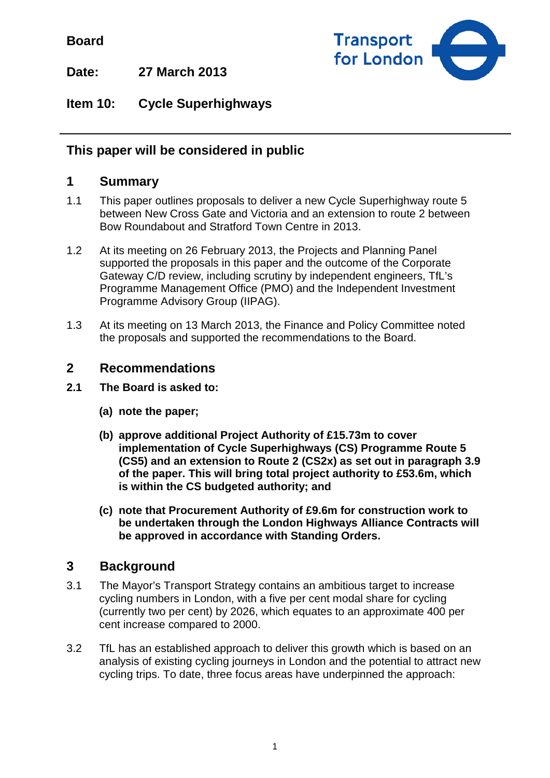**Board**



**Date: 27 March 2013**

**Item 10: Cycle Superhighways**

# **This paper will be considered in public**

## **1 Summary**

- 1.1 This paper outlines proposals to deliver a new Cycle Superhighway route 5 between New Cross Gate and Victoria and an extension to route 2 between Bow Roundabout and Stratford Town Centre in 2013.
- 1.2 At its meeting on 26 February 2013, the Projects and Planning Panel supported the proposals in this paper and the outcome of the Corporate Gateway C/D review, including scrutiny by independent engineers, TfL's Programme Management Office (PMO) and the Independent Investment Programme Advisory Group (IIPAG).
- 1.3 At its meeting on 13 March 2013, the Finance and Policy Committee noted the proposals and supported the recommendations to the Board.

## **2 Recommendations**

- **2.1 The Board is asked to:**
	- **(a) note the paper;**
	- **(b) approve additional Project Authority of £15.73m to cover implementation of Cycle Superhighways (CS) Programme Route 5 (CS5) and an extension to Route 2 (CS2x) as set out in paragraph 3.9 of the paper. This will bring total project authority to £53.6m, which is within the CS budgeted authority; and**
	- **(c) note that Procurement Authority of £9.6m for construction work to be undertaken through the London Highways Alliance Contracts will be approved in accordance with Standing Orders.**

# **3 Background**

- 3.1 The Mayor's Transport Strategy contains an ambitious target to increase cycling numbers in London, with a five per cent modal share for cycling (currently two per cent) by 2026, which equates to an approximate 400 per cent increase compared to 2000.
- 3.2 TfL has an established approach to deliver this growth which is based on an analysis of existing cycling journeys in London and the potential to attract new cycling trips. To date, three focus areas have underpinned the approach: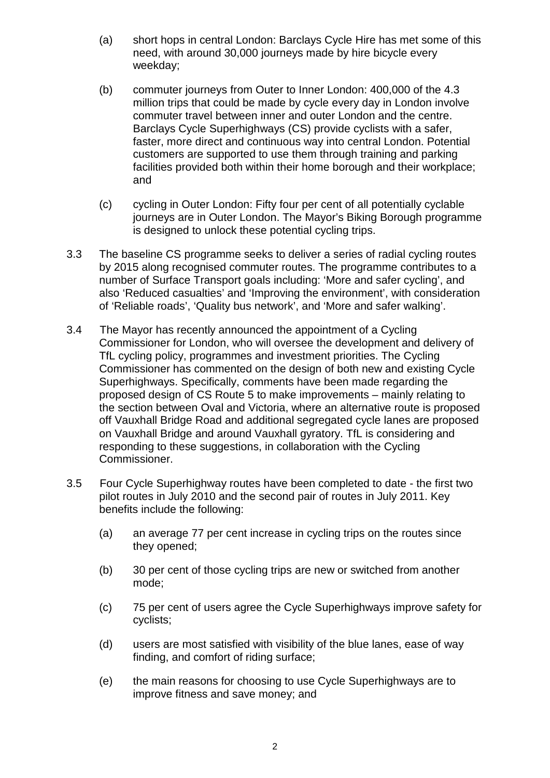- (a) short hops in central London: Barclays Cycle Hire has met some of this need, with around 30,000 journeys made by hire bicycle every weekday;
- (b) commuter journeys from Outer to Inner London: 400,000 of the 4.3 million trips that could be made by cycle every day in London involve commuter travel between inner and outer London and the centre. Barclays Cycle Superhighways (CS) provide cyclists with a safer, faster, more direct and continuous way into central London. Potential customers are supported to use them through training and parking facilities provided both within their home borough and their workplace; and
- (c) cycling in Outer London: Fifty four per cent of all potentially cyclable journeys are in Outer London. The Mayor's Biking Borough programme is designed to unlock these potential cycling trips.
- 3.3 The baseline CS programme seeks to deliver a series of radial cycling routes by 2015 along recognised commuter routes. The programme contributes to a number of Surface Transport goals including: 'More and safer cycling', and also 'Reduced casualties' and 'Improving the environment', with consideration of 'Reliable roads', 'Quality bus network', and 'More and safer walking'.
- 3.4 The Mayor has recently announced the appointment of a Cycling Commissioner for London, who will oversee the development and delivery of TfL cycling policy, programmes and investment priorities. The Cycling Commissioner has commented on the design of both new and existing Cycle Superhighways. Specifically, comments have been made regarding the proposed design of CS Route 5 to make improvements – mainly relating to the section between Oval and Victoria, where an alternative route is proposed off Vauxhall Bridge Road and additional segregated cycle lanes are proposed on Vauxhall Bridge and around Vauxhall gyratory. TfL is considering and responding to these suggestions, in collaboration with the Cycling Commissioner.
- 3.5 Four Cycle Superhighway routes have been completed to date the first two pilot routes in July 2010 and the second pair of routes in July 2011. Key benefits include the following:
	- (a) an average 77 per cent increase in cycling trips on the routes since they opened;
	- (b) 30 per cent of those cycling trips are new or switched from another mode;
	- (c) 75 per cent of users agree the Cycle Superhighways improve safety for cyclists;
	- (d) users are most satisfied with visibility of the blue lanes, ease of way finding, and comfort of riding surface;
	- (e) the main reasons for choosing to use Cycle Superhighways are to improve fitness and save money; and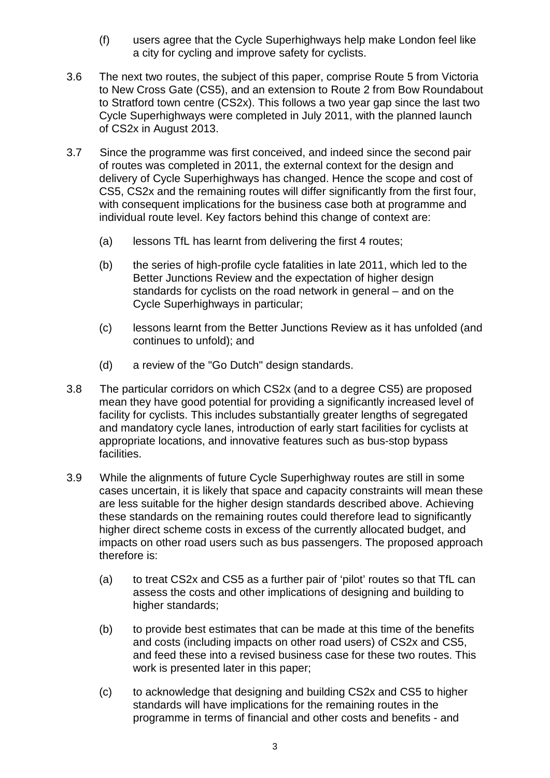- (f) users agree that the Cycle Superhighways help make London feel like a city for cycling and improve safety for cyclists.
- 3.6 The next two routes, the subject of this paper, comprise Route 5 from Victoria to New Cross Gate (CS5), and an extension to Route 2 from Bow Roundabout to Stratford town centre (CS2x). This follows a two year gap since the last two Cycle Superhighways were completed in July 2011, with the planned launch of CS2x in August 2013.
- 3.7 Since the programme was first conceived, and indeed since the second pair of routes was completed in 2011, the external context for the design and delivery of Cycle Superhighways has changed. Hence the scope and cost of CS5, CS2x and the remaining routes will differ significantly from the first four, with consequent implications for the business case both at programme and individual route level. Key factors behind this change of context are:
	- (a) lessons TfL has learnt from delivering the first 4 routes;
	- (b) the series of high-profile cycle fatalities in late 2011, which led to the Better Junctions Review and the expectation of higher design standards for cyclists on the road network in general – and on the Cycle Superhighways in particular;
	- (c) lessons learnt from the Better Junctions Review as it has unfolded (and continues to unfold); and
	- (d) a review of the "Go Dutch" design standards.
- 3.8 The particular corridors on which CS2x (and to a degree CS5) are proposed mean they have good potential for providing a significantly increased level of facility for cyclists. This includes substantially greater lengths of segregated and mandatory cycle lanes, introduction of early start facilities for cyclists at appropriate locations, and innovative features such as bus-stop bypass facilities.
- 3.9 While the alignments of future Cycle Superhighway routes are still in some cases uncertain, it is likely that space and capacity constraints will mean these are less suitable for the higher design standards described above. Achieving these standards on the remaining routes could therefore lead to significantly higher direct scheme costs in excess of the currently allocated budget, and impacts on other road users such as bus passengers. The proposed approach therefore is:
	- (a) to treat CS2x and CS5 as a further pair of 'pilot' routes so that TfL can assess the costs and other implications of designing and building to higher standards;
	- (b) to provide best estimates that can be made at this time of the benefits and costs (including impacts on other road users) of CS2x and CS5, and feed these into a revised business case for these two routes. This work is presented later in this paper;
	- (c) to acknowledge that designing and building CS2x and CS5 to higher standards will have implications for the remaining routes in the programme in terms of financial and other costs and benefits - and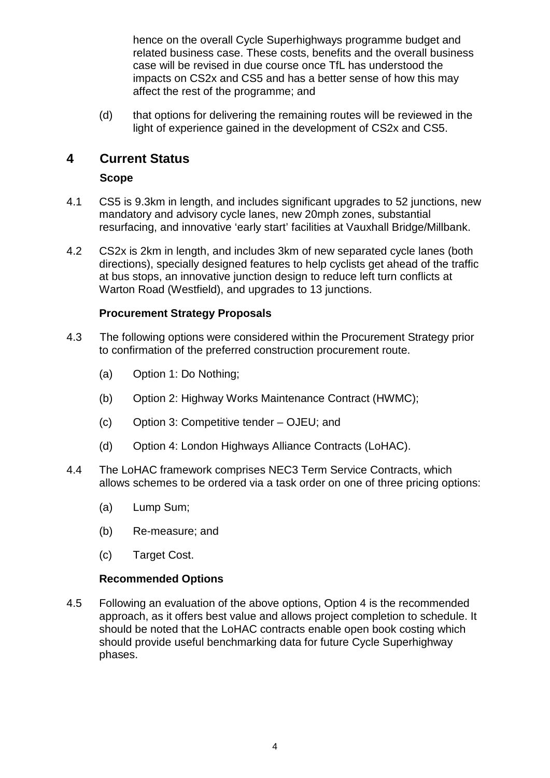hence on the overall Cycle Superhighways programme budget and related business case. These costs, benefits and the overall business case will be revised in due course once TfL has understood the impacts on CS2x and CS5 and has a better sense of how this may affect the rest of the programme; and

(d) that options for delivering the remaining routes will be reviewed in the light of experience gained in the development of CS2x and CS5.

## **4 Current Status**

#### **Scope**

- 4.1 CS5 is 9.3km in length, and includes significant upgrades to 52 junctions, new mandatory and advisory cycle lanes, new 20mph zones, substantial resurfacing, and innovative 'early start' facilities at Vauxhall Bridge/Millbank.
- 4.2 CS2x is 2km in length, and includes 3km of new separated cycle lanes (both directions), specially designed features to help cyclists get ahead of the traffic at bus stops, an innovative junction design to reduce left turn conflicts at Warton Road (Westfield), and upgrades to 13 junctions.

#### **Procurement Strategy Proposals**

- 4.3 The following options were considered within the Procurement Strategy prior to confirmation of the preferred construction procurement route.
	- (a) Option 1: Do Nothing;
	- (b) Option 2: Highway Works Maintenance Contract (HWMC);
	- (c) Option 3: Competitive tender OJEU; and
	- (d) Option 4: London Highways Alliance Contracts (LoHAC).
- 4.4 The LoHAC framework comprises NEC3 Term Service Contracts, which allows schemes to be ordered via a task order on one of three pricing options:
	- (a) Lump Sum;
	- (b) Re-measure; and
	- (c) Target Cost.

#### **Recommended Options**

4.5 Following an evaluation of the above options, Option 4 is the recommended approach, as it offers best value and allows project completion to schedule. It should be noted that the LoHAC contracts enable open book costing which should provide useful benchmarking data for future Cycle Superhighway phases.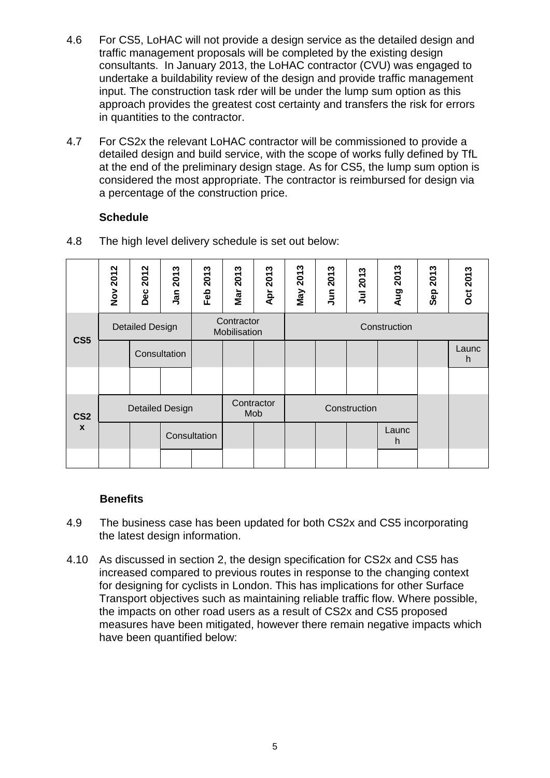- 4.6 For CS5, LoHAC will not provide a design service as the detailed design and traffic management proposals will be completed by the existing design consultants. In January 2013, the LoHAC contractor (CVU) was engaged to undertake a buildability review of the design and provide traffic management input. The construction task rder will be under the lump sum option as this approach provides the greatest cost certainty and transfers the risk for errors in quantities to the contractor.
- 4.7 For CS2x the relevant LoHAC contractor will be commissioned to provide a detailed design and build service, with the scope of works fully defined by TfL at the end of the preliminary design stage. As for CS5, the lump sum option is considered the most appropriate. The contractor is reimbursed for design via a percentage of the construction price.

#### **Schedule**

|                 | Nov 2012               | 2012<br>Dec            | 2013<br>Jan  | w<br>201<br>Feb                   | ∾<br>201<br>Mar                            | Apr 2013 | 2013<br>Vay | Jun 2013 | Jul 2013 | 2013<br>Aug | 2013<br>Sep | <b>Oct 2013</b> |
|-----------------|------------------------|------------------------|--------------|-----------------------------------|--------------------------------------------|----------|-------------|----------|----------|-------------|-------------|-----------------|
| CS <sub>5</sub> | <b>Detailed Design</b> |                        |              |                                   | Contractor<br>Construction<br>Mobilisation |          |             |          |          |             |             |                 |
|                 |                        | Consultation           |              |                                   |                                            |          |             |          |          |             |             | Launc<br>h      |
|                 |                        |                        |              |                                   |                                            |          |             |          |          |             |             |                 |
| CS <sub>2</sub> |                        | <b>Detailed Design</b> |              | Contractor<br>Construction<br>Mob |                                            |          |             |          |          |             |             |                 |
| $\mathbf{x}$    |                        |                        | Consultation |                                   |                                            |          |             |          |          | Launc<br>h  |             |                 |
|                 |                        |                        |              |                                   |                                            |          |             |          |          |             |             |                 |

4.8 The high level delivery schedule is set out below:

#### **Benefits**

- 4.9 The business case has been updated for both CS2x and CS5 incorporating the latest design information.
- 4.10 As discussed in section 2, the design specification for CS2x and CS5 has increased compared to previous routes in response to the changing context for designing for cyclists in London. This has implications for other Surface Transport objectives such as maintaining reliable traffic flow. Where possible, the impacts on other road users as a result of CS2x and CS5 proposed measures have been mitigated, however there remain negative impacts which have been quantified below: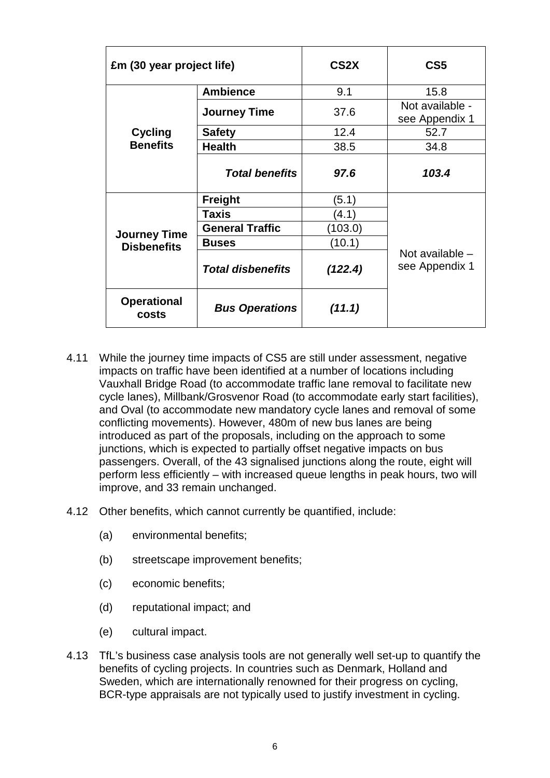| £m (30 year project life)   |                          | CS <sub>2</sub> X | CS <sub>5</sub>                     |
|-----------------------------|--------------------------|-------------------|-------------------------------------|
|                             | <b>Ambience</b>          | 9.1               | 15.8                                |
|                             | <b>Journey Time</b>      | 37.6              | Not available -<br>see Appendix 1   |
| <b>Cycling</b>              | <b>Safety</b>            | 12.4              | 52.7                                |
| <b>Benefits</b>             | <b>Health</b>            | 38.5              | 34.8                                |
|                             | <b>Total benefits</b>    | 97.6              | 103.4                               |
|                             | <b>Freight</b>           | (5.1)             |                                     |
|                             | <b>Taxis</b>             | (4.1)             |                                     |
| <b>Journey Time</b>         | <b>General Traffic</b>   | (103.0)           |                                     |
| <b>Disbenefits</b>          | <b>Buses</b>             | (10.1)            |                                     |
|                             | <b>Total disbenefits</b> | (122.4)           | Not available $-$<br>see Appendix 1 |
| <b>Operational</b><br>costs | <b>Bus Operations</b>    | (11.1)            |                                     |

- 4.11 While the journey time impacts of CS5 are still under assessment, negative impacts on traffic have been identified at a number of locations including Vauxhall Bridge Road (to accommodate traffic lane removal to facilitate new cycle lanes), Millbank/Grosvenor Road (to accommodate early start facilities), and Oval (to accommodate new mandatory cycle lanes and removal of some conflicting movements). However, 480m of new bus lanes are being introduced as part of the proposals, including on the approach to some junctions, which is expected to partially offset negative impacts on bus passengers. Overall, of the 43 signalised junctions along the route, eight will perform less efficiently – with increased queue lengths in peak hours, two will improve, and 33 remain unchanged.
- 4.12 Other benefits, which cannot currently be quantified, include:
	- (a) environmental benefits;
	- (b) streetscape improvement benefits;
	- (c) economic benefits;
	- (d) reputational impact; and
	- (e) cultural impact.
- 4.13 TfL's business case analysis tools are not generally well set-up to quantify the benefits of cycling projects. In countries such as Denmark, Holland and Sweden, which are internationally renowned for their progress on cycling, BCR-type appraisals are not typically used to justify investment in cycling.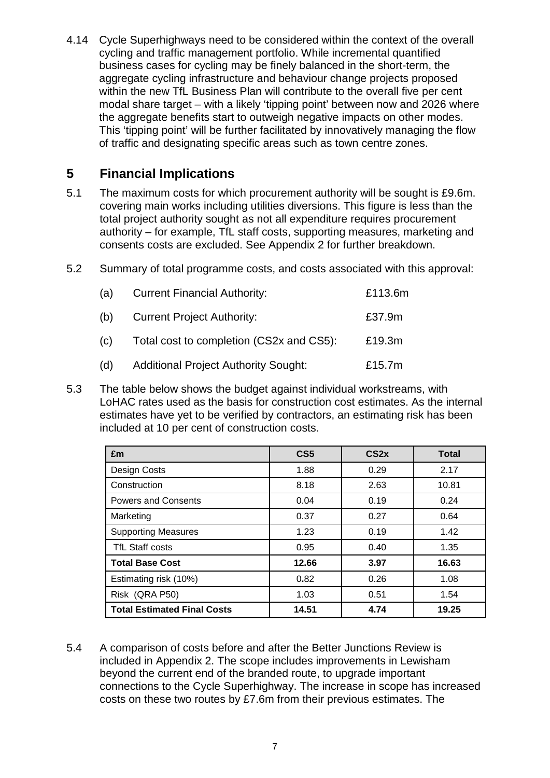4.14 Cycle Superhighways need to be considered within the context of the overall cycling and traffic management portfolio. While incremental quantified business cases for cycling may be finely balanced in the short-term, the aggregate cycling infrastructure and behaviour change projects proposed within the new TfL Business Plan will contribute to the overall five per cent modal share target – with a likely 'tipping point' between now and 2026 where the aggregate benefits start to outweigh negative impacts on other modes. This 'tipping point' will be further facilitated by innovatively managing the flow of traffic and designating specific areas such as town centre zones.

## **5 Financial Implications**

- 5.1 The maximum costs for which procurement authority will be sought is £9.6m. covering main works including utilities diversions. This figure is less than the total project authority sought as not all expenditure requires procurement authority – for example, TfL staff costs, supporting measures, marketing and consents costs are excluded. See Appendix 2 for further breakdown.
- 5.2 Summary of total programme costs, and costs associated with this approval:

| (a) | <b>Current Financial Authority:</b>         | £113.6m |
|-----|---------------------------------------------|---------|
| (b) | <b>Current Project Authority:</b>           | £37.9m  |
| (c) | Total cost to completion (CS2x and CS5):    | £19.3m  |
| (d) | <b>Additional Project Authority Sought:</b> | £15.7m  |

5.3 The table below shows the budget against individual workstreams, with LoHAC rates used as the basis for construction cost estimates. As the internal estimates have yet to be verified by contractors, an estimating risk has been included at 10 per cent of construction costs.

| £m                                 | CS <sub>5</sub> | CS <sub>2x</sub> | <b>Total</b> |
|------------------------------------|-----------------|------------------|--------------|
| Design Costs                       | 1.88            | 0.29             | 2.17         |
| Construction                       | 8.18            | 2.63             | 10.81        |
| <b>Powers and Consents</b>         | 0.04            | 0.19             | 0.24         |
| Marketing                          | 0.37            | 0.27             | 0.64         |
| <b>Supporting Measures</b>         | 1.23            | 0.19             | 1.42         |
| <b>TfL Staff costs</b>             | 0.95            | 0.40             | 1.35         |
| <b>Total Base Cost</b>             | 12.66           | 3.97             | 16.63        |
| Estimating risk (10%)              | 0.82            | 0.26             | 1.08         |
| Risk (QRA P50)                     | 1.03            | 0.51             | 1.54         |
| <b>Total Estimated Final Costs</b> | 14.51           | 4.74             | 19.25        |

5.4 A comparison of costs before and after the Better Junctions Review is included in Appendix 2. The scope includes improvements in Lewisham beyond the current end of the branded route, to upgrade important connections to the Cycle Superhighway. The increase in scope has increased costs on these two routes by £7.6m from their previous estimates. The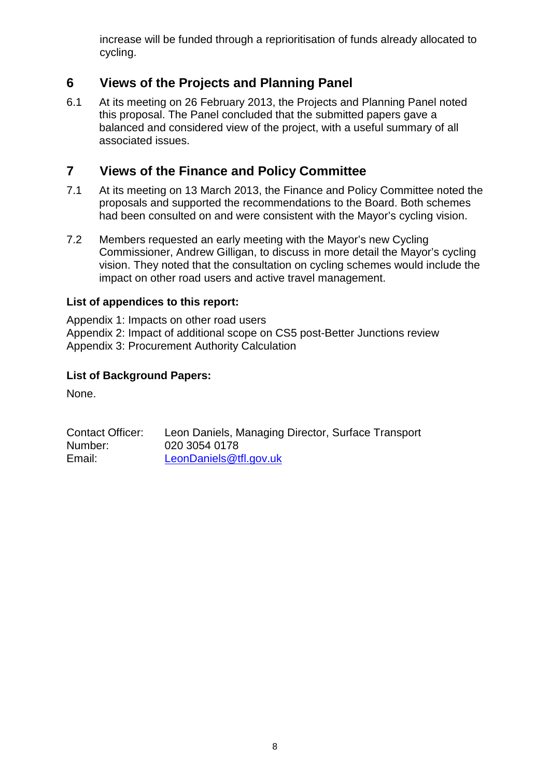increase will be funded through a reprioritisation of funds already allocated to cycling.

# **6 Views of the Projects and Planning Panel**

6.1 At its meeting on 26 February 2013, the Projects and Planning Panel noted this proposal. The Panel concluded that the submitted papers gave a balanced and considered view of the project, with a useful summary of all associated issues.

## **7 Views of the Finance and Policy Committee**

- 7.1 At its meeting on 13 March 2013, the Finance and Policy Committee noted the proposals and supported the recommendations to the Board. Both schemes had been consulted on and were consistent with the Mayor's cycling vision.
- 7.2 Members requested an early meeting with the Mayor's new Cycling Commissioner, Andrew Gilligan, to discuss in more detail the Mayor's cycling vision. They noted that the consultation on cycling schemes would include the impact on other road users and active travel management.

#### **List of appendices to this report:**

Appendix 1: Impacts on other road users Appendix 2: Impact of additional scope on CS5 post-Better Junctions review Appendix 3: Procurement Authority Calculation

#### **List of Background Papers:**

None.

| Contact Officer: | Leon Daniels, Managing Director, Surface Transport |
|------------------|----------------------------------------------------|
| Number:          | 020 3054 0178                                      |
| Email:           | LeonDaniels@tfl.gov.uk                             |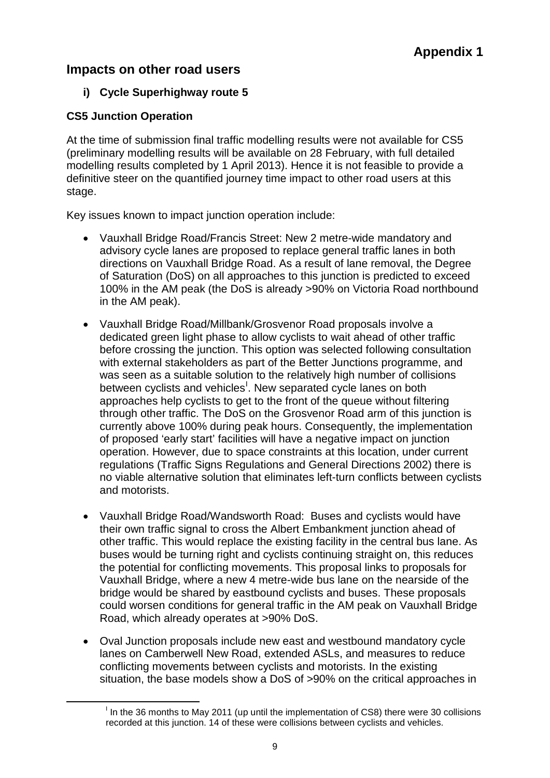## **Impacts on other road users**

#### **i) Cycle Superhighway route 5**

#### **CS5 Junction Operation**

At the time of submission final traffic modelling results were not available for CS5 (preliminary modelling results will be available on 28 February, with full detailed modelling results completed by 1 April 2013). Hence it is not feasible to provide a definitive steer on the quantified journey time impact to other road users at this stage.

Key issues known to impact junction operation include:

- Vauxhall Bridge Road/Francis Street: New 2 metre-wide mandatory and advisory cycle lanes are proposed to replace general traffic lanes in both directions on Vauxhall Bridge Road. As a result of lane removal, the Degree of Saturation (DoS) on all approaches to this junction is predicted to exceed 100% in the AM peak (the DoS is already >90% on Victoria Road northbound in the AM peak).
- Vauxhall Bridge Road/Millbank/Grosvenor Road proposals involve a dedicated green light phase to allow cyclists to wait ahead of other traffic before crossing the junction. This option was selected following consultation with external stakeholders as part of the Better Junctions programme, and was seen as a suitable solution to the relatively high number of collisions between cyclists and vehicles<sup>1</sup>. New separated cycle lanes on both approaches help cyclists to get to the front of the queue without filtering through other traffic. The DoS on the Grosvenor Road arm of this junction is currently above 100% during peak hours. Consequently, the implementation of proposed 'early start' facilities will have a negative impact on junction operation. However, due to space constraints at this location, under current regulations (Traffic Signs Regulations and General Directions 2002) there is no viable alternative solution that eliminates left-turn conflicts between cyclists and motorists.
- Vauxhall Bridge Road/Wandsworth Road: Buses and cyclists would have their own traffic signal to cross the Albert Embankment junction ahead of other traffic. This would replace the existing facility in the central bus lane. As buses would be turning right and cyclists continuing straight on, this reduces the potential for conflicting movements. This proposal links to proposals for Vauxhall Bridge, where a new 4 metre-wide bus lane on the nearside of the bridge would be shared by eastbound cyclists and buses. These proposals could worsen conditions for general traffic in the AM peak on Vauxhall Bridge Road, which already operates at >90% DoS.
- Oval Junction proposals include new east and westbound mandatory cycle lanes on Camberwell New Road, extended ASLs, and measures to reduce conflicting movements between cyclists and motorists. In the existing situation, the base models show a DoS of >90% on the critical approaches in

<span id="page-8-0"></span> $\frac{1}{\sqrt{1-\frac{1}{2}}}\left( \frac{1}{\sqrt{1-\frac{1}{2}}}\right)$  $<sup>1</sup>$  In the 36 months to May 2011 (up until the implementation of CS8) there were 30 collisions</sup> recorded at this junction. 14 of these were collisions between cyclists and vehicles.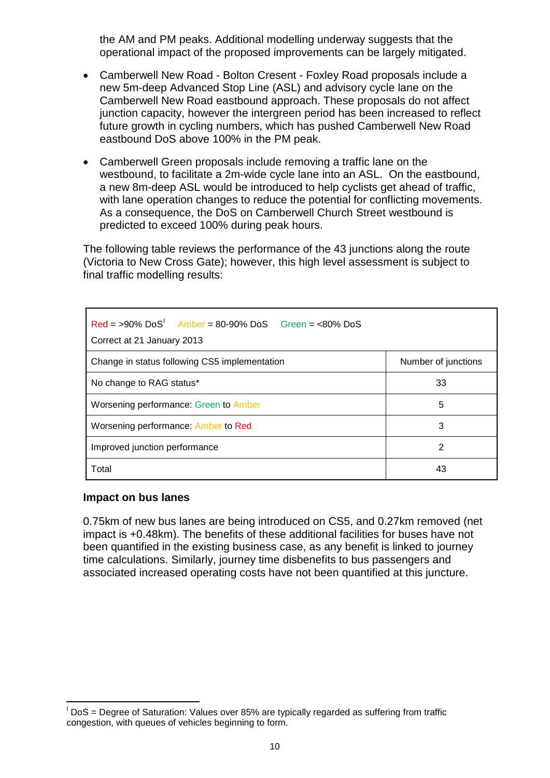the AM and PM peaks. Additional modelling underway suggests that the operational impact of the proposed improvements can be largely mitigated.

- Camberwell New Road Bolton Cresent Foxley Road proposals include a new 5m-deep Advanced Stop Line (ASL) and advisory cycle lane on the Camberwell New Road eastbound approach. These proposals do not affect junction capacity, however the intergreen period has been increased to reflect future growth in cycling numbers, which has pushed Camberwell New Road eastbound DoS above 100% in the PM peak.
- Camberwell Green proposals include removing a traffic lane on the westbound, to facilitate a 2m-wide cycle lane into an ASL. On the eastbound, a new 8m-deep ASL would be introduced to help cyclists get ahead of traffic, with lane operation changes to reduce the potential for conflicting movements. As a consequence, the DoS on Camberwell Church Street westbound is predicted to exceed 100% during peak hours.

The following table reviews the performance of the 43 junctions along the route (Victoria to New Cross Gate); however, this high level assessment is subject to final traffic modelling results:

| $Red = >90\%$ $DoS'$ Amber = 80-90% DoS Green = <80% DoS<br>Correct at 21 January 2013 |                     |  |
|----------------------------------------------------------------------------------------|---------------------|--|
| Change in status following CS5 implementation                                          | Number of junctions |  |
| No change to RAG status*                                                               | 33                  |  |
| Worsening performance: Green to Amber                                                  | 5                   |  |
| Worsening performance: Amber to Red                                                    | 3                   |  |
| Improved junction performance                                                          | 2                   |  |
| Total                                                                                  | 43                  |  |

#### **Impact on bus lanes**

0.75km of new bus lanes are being introduced on CS5, and 0.27km removed (net impact is +0.48km). The benefits of these additional facilities for buses have not been quantified in the existing business case, as any benefit is linked to journey time calculations. Similarly, journey time disbenefits to bus passengers and associated increased operating costs have not been quantified at this juncture.

<span id="page-9-0"></span><sup>-&</sup>lt;br>I  $\overline{P}$  DoS = Degree of Saturation: Values over 85% are typically regarded as suffering from traffic congestion, with queues of vehicles beginning to form.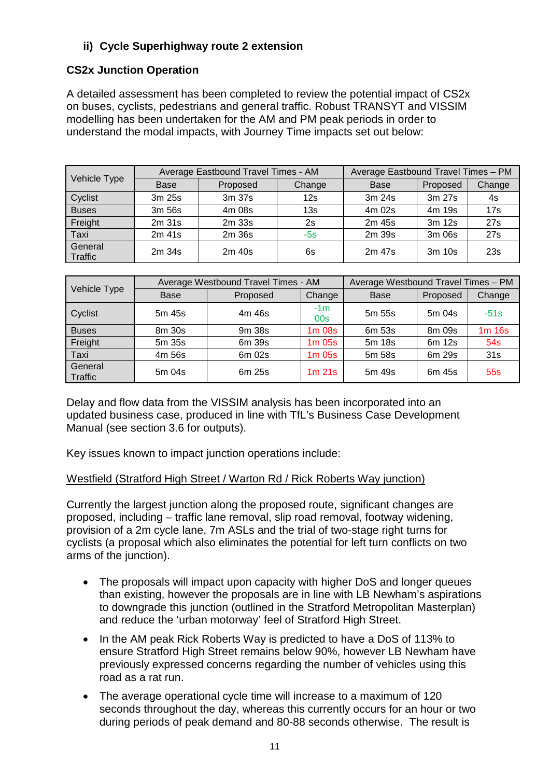#### **ii) Cycle Superhighway route 2 extension**

#### **CS2x Junction Operation**

A detailed assessment has been completed to review the potential impact of CS2x on buses, cyclists, pedestrians and general traffic. Robust TRANSYT and VISSIM modelling has been undertaken for the AM and PM peak periods in order to understand the modal impacts, with Journey Time impacts set out below:

|                    |             | Average Eastbound Travel Times - AM | Average Eastbound Travel Times - PM |             |          |        |
|--------------------|-------------|-------------------------------------|-------------------------------------|-------------|----------|--------|
| Vehicle Type       | <b>Base</b> | Proposed                            | Change                              | <b>Base</b> | Proposed | Change |
| Cyclist            | 3m 25s      | 3m 37s                              | 12s                                 | 3m 24s      | 3m 27s   | 4s     |
| <b>Buses</b>       | 3m 56s      | 4m 08s                              | 13 <sub>s</sub>                     | 4m 02s      | 4m 19s   | 17s    |
| Freight            | $2m$ 31s    | 2m 33s                              | 2s                                  | 2m 45s      | 3m 12s   | 27s    |
| Taxi               | $2m$ 41s    | 2m 36s                              | $-5s$                               | 2m 39s      | 3m 06s   | 27s    |
| General<br>Traffic | 2m 34s      | 2m 40s                              | 6s                                  | 2m 47s      | 3m 10s   | 23s    |

|                    |        | Average Westbound Travel Times - AM | Average Westbound Travel Times - PM |             |          |                 |
|--------------------|--------|-------------------------------------|-------------------------------------|-------------|----------|-----------------|
| Vehicle Type       | Base   | Proposed                            | Change                              | <b>Base</b> | Proposed | Change          |
| Cyclist            | 5m 45s | 4m 46s                              | $-1m$<br>00s                        | 5m 55s      | 5m 04s   | $-51s$          |
| <b>Buses</b>       | 8m 30s | 9m 38s                              | $1m$ 08s                            | 6m 53s      | 8m 09s   | $1m$ 16s        |
| Freight            | 5m 35s | 6m 39s                              | $1m$ 05s                            | 5m 18s      | 6m 12s   | 54s             |
| Taxi               | 4m 56s | 6m 02s                              | $1m$ 05s                            | 5m 58s      | 6m 29s   | 31s             |
| General<br>Traffic | 5m 04s | 6m 25s                              | $1m$ 21s                            | 5m 49s      | 6m 45s   | 55 <sub>s</sub> |

Delay and flow data from the VISSIM analysis has been incorporated into an updated business case, produced in line with TfL's Business Case Development Manual (see section 3.6 for outputs).

Key issues known to impact junction operations include:

#### Westfield (Stratford High Street / Warton Rd / Rick Roberts Way junction)

Currently the largest junction along the proposed route, significant changes are proposed, including – traffic lane removal, slip road removal, footway widening, provision of a 2m cycle lane, 7m ASLs and the trial of two-stage right turns for cyclists (a proposal which also eliminates the potential for left turn conflicts on two arms of the junction).

- The proposals will impact upon capacity with higher DoS and longer queues than existing, however the proposals are in line with LB Newham's aspirations to downgrade this junction (outlined in the Stratford Metropolitan Masterplan) and reduce the 'urban motorway' feel of Stratford High Street.
- In the AM peak Rick Roberts Way is predicted to have a DoS of 113% to ensure Stratford High Street remains below 90%, however LB Newham have previously expressed concerns regarding the number of vehicles using this road as a rat run.
- The average operational cycle time will increase to a maximum of 120 seconds throughout the day, whereas this currently occurs for an hour or two during periods of peak demand and 80-88 seconds otherwise. The result is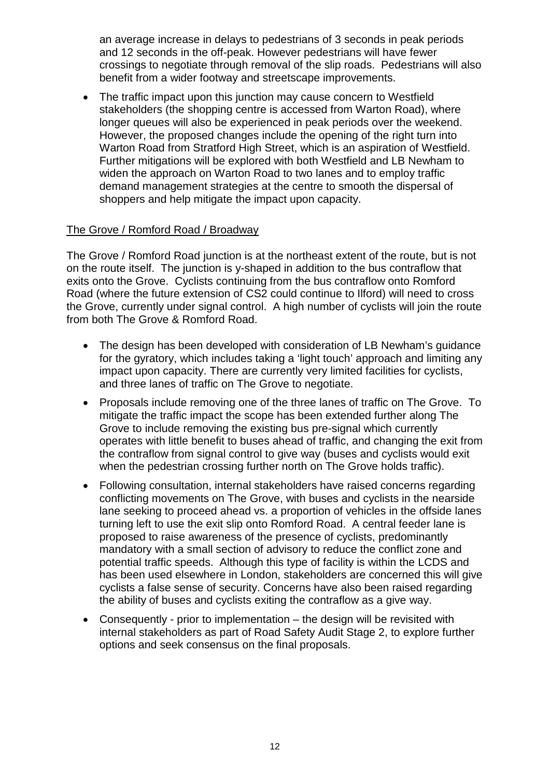an average increase in delays to pedestrians of 3 seconds in peak periods and 12 seconds in the off-peak. However pedestrians will have fewer crossings to negotiate through removal of the slip roads. Pedestrians will also benefit from a wider footway and streetscape improvements.

• The traffic impact upon this junction may cause concern to Westfield stakeholders (the shopping centre is accessed from Warton Road), where longer queues will also be experienced in peak periods over the weekend. However, the proposed changes include the opening of the right turn into Warton Road from Stratford High Street, which is an aspiration of Westfield. Further mitigations will be explored with both Westfield and LB Newham to widen the approach on Warton Road to two lanes and to employ traffic demand management strategies at the centre to smooth the dispersal of shoppers and help mitigate the impact upon capacity.

#### The Grove / Romford Road / Broadway

The Grove / Romford Road junction is at the northeast extent of the route, but is not on the route itself. The junction is y-shaped in addition to the bus contraflow that exits onto the Grove. Cyclists continuing from the bus contraflow onto Romford Road (where the future extension of CS2 could continue to Ilford) will need to cross the Grove, currently under signal control. A high number of cyclists will join the route from both The Grove & Romford Road.

- The design has been developed with consideration of LB Newham's quidance for the gyratory, which includes taking a 'light touch' approach and limiting any impact upon capacity. There are currently very limited facilities for cyclists, and three lanes of traffic on The Grove to negotiate.
- Proposals include removing one of the three lanes of traffic on The Grove. To mitigate the traffic impact the scope has been extended further along The Grove to include removing the existing bus pre-signal which currently operates with little benefit to buses ahead of traffic, and changing the exit from the contraflow from signal control to give way (buses and cyclists would exit when the pedestrian crossing further north on The Grove holds traffic).
- Following consultation, internal stakeholders have raised concerns regarding conflicting movements on The Grove, with buses and cyclists in the nearside lane seeking to proceed ahead vs. a proportion of vehicles in the offside lanes turning left to use the exit slip onto Romford Road. A central feeder lane is proposed to raise awareness of the presence of cyclists, predominantly mandatory with a small section of advisory to reduce the conflict zone and potential traffic speeds. Although this type of facility is within the LCDS and has been used elsewhere in London, stakeholders are concerned this will give cyclists a false sense of security. Concerns have also been raised regarding the ability of buses and cyclists exiting the contraflow as a give way.
- Consequently prior to implementation the design will be revisited with internal stakeholders as part of Road Safety Audit Stage 2, to explore further options and seek consensus on the final proposals.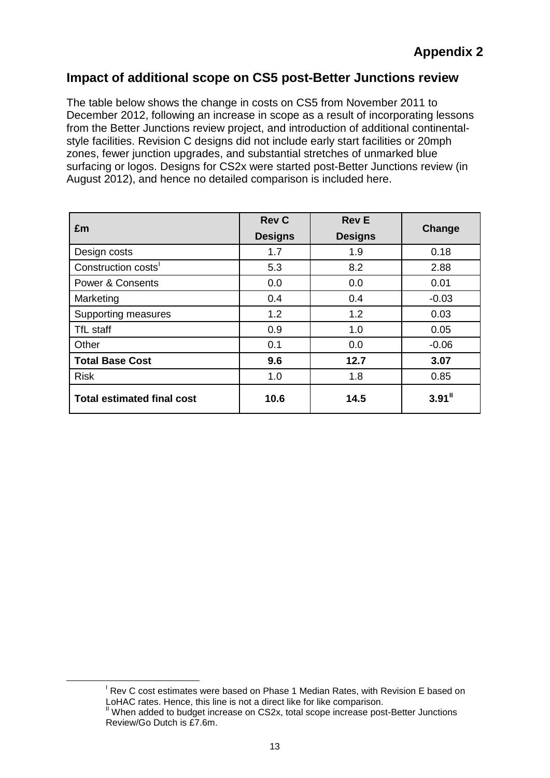## **Impact of additional scope on CS5 post-Better Junctions review**

The table below shows the change in costs on CS5 from November 2011 to December 2012, following an increase in scope as a result of incorporating lessons from the Better Junctions review project, and introduction of additional continentalstyle facilities. Revision C designs did not include early start facilities or 20mph zones, fewer junction upgrades, and substantial stretches of unmarked blue surfacing or logos. Designs for CS2x were started post-Better Junctions review (in August 2012), and hence no detailed comparison is included here.

| £m                                | <b>Rev C</b>   | <b>Rev E</b>   | Change               |  |
|-----------------------------------|----------------|----------------|----------------------|--|
|                                   | <b>Designs</b> | <b>Designs</b> |                      |  |
| Design costs                      | 1.7            | 1.9            | 0.18                 |  |
| Construction costs'               | 5.3            | 8.2            | 2.88                 |  |
| <b>Power &amp; Consents</b>       | 0.0            | 0.0            | 0.01                 |  |
| Marketing                         | 0.4            | 0.4            | $-0.03$              |  |
| Supporting measures               | 1.2            | 1.2            | 0.03                 |  |
| TfL staff                         | 0.9            | 1.0            | 0.05                 |  |
| Other                             | 0.1            | 0.0            | $-0.06$              |  |
| <b>Total Base Cost</b>            | 9.6            | 12.7           | 3.07                 |  |
| <b>Risk</b>                       | 1.0            | 1.8            | 0.85                 |  |
| <b>Total estimated final cost</b> | 10.6           | 14.5           | $3.91$ <sup>11</sup> |  |

<span id="page-12-1"></span><span id="page-12-0"></span> $\frac{1}{\sqrt{1-\frac{1}{2}}}\left( \frac{1}{\sqrt{1-\frac{1}{2}}}\right)$  $\overline{P}$  Rev C cost estimates were based on Phase 1 Median Rates, with Revision E based on LoHAC rates. Hence, this line is not a direct like for like comparison.

 $\textsuperscript{II}$  When added to budget increase on CS2x, total scope increase post-Better Junctions Review/Go Dutch is £7.6m.